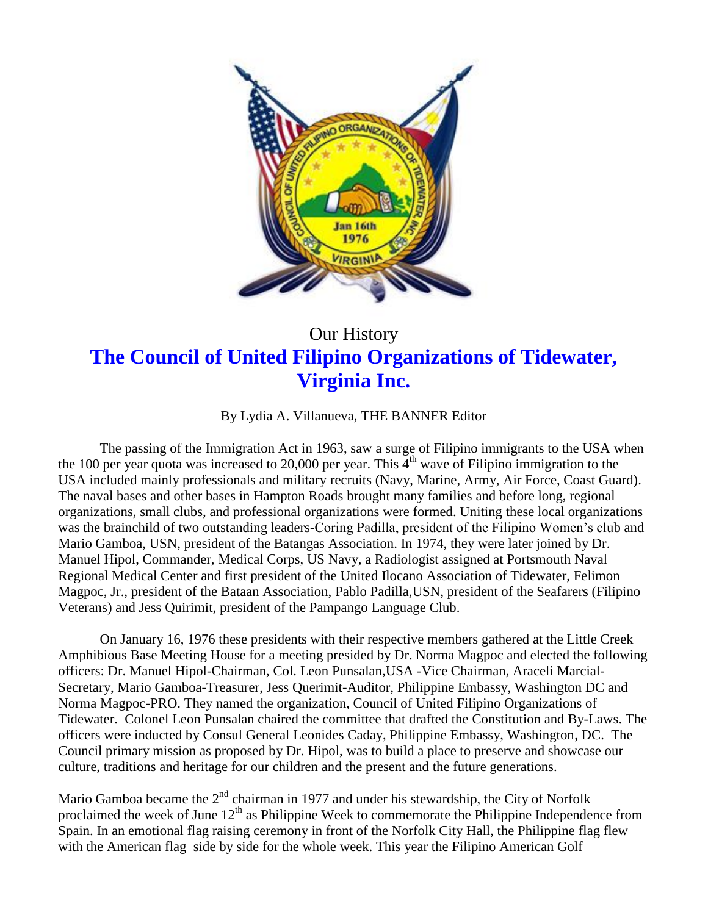

## Our History **The Council of United Filipino Organizations of Tidewater, Virginia Inc.**

By Lydia A. Villanueva, THE BANNER Editor

The passing of the Immigration Act in 1963, saw a surge of Filipino immigrants to the USA when the 100 per year quota was increased to 20,000 per year. This  $4<sup>th</sup>$  wave of Filipino immigration to the USA included mainly professionals and military recruits (Navy, Marine, Army, Air Force, Coast Guard). The naval bases and other bases in Hampton Roads brought many families and before long, regional organizations, small clubs, and professional organizations were formed. Uniting these local organizations was the brainchild of two outstanding leaders-Coring Padilla, president of the Filipino Women's club and Mario Gamboa, USN, president of the Batangas Association. In 1974, they were later joined by Dr. Manuel Hipol, Commander, Medical Corps, US Navy, a Radiologist assigned at Portsmouth Naval Regional Medical Center and first president of the United Ilocano Association of Tidewater, Felimon Magpoc, Jr., president of the Bataan Association, Pablo Padilla,USN, president of the Seafarers (Filipino Veterans) and Jess Quirimit, president of the Pampango Language Club.

On January 16, 1976 these presidents with their respective members gathered at the Little Creek Amphibious Base Meeting House for a meeting presided by Dr. Norma Magpoc and elected the following officers: Dr. Manuel Hipol-Chairman, Col. Leon Punsalan,USA -Vice Chairman, Araceli Marcial-Secretary, Mario Gamboa-Treasurer, Jess Querimit-Auditor, Philippine Embassy, Washington DC and Norma Magpoc-PRO. They named the organization, Council of United Filipino Organizations of Tidewater. Colonel Leon Punsalan chaired the committee that drafted the Constitution and By-Laws. The officers were inducted by Consul General Leonides Caday, Philippine Embassy, Washington, DC. The Council primary mission as proposed by Dr. Hipol, was to build a place to preserve and showcase our culture, traditions and heritage for our children and the present and the future generations.

Mario Gamboa became the  $2<sup>nd</sup>$  chairman in 1977 and under his stewardship, the City of Norfolk proclaimed the week of June  $12<sup>th</sup>$  as Philippine Week to commemorate the Philippine Independence from Spain. In an emotional flag raising ceremony in front of the Norfolk City Hall, the Philippine flag flew with the American flag side by side for the whole week. This year the Filipino American Golf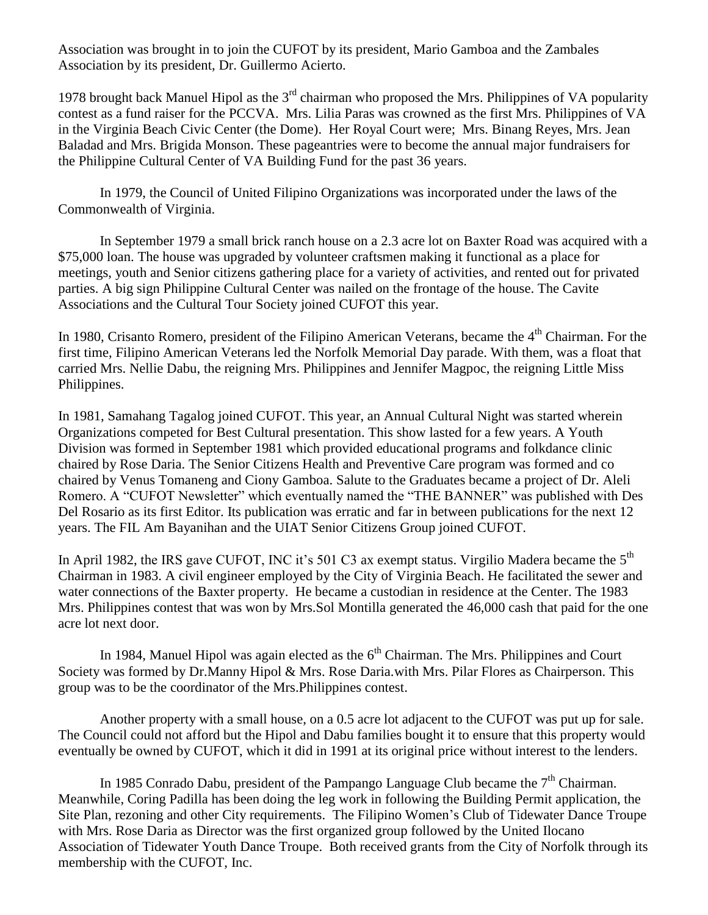Association was brought in to join the CUFOT by its president, Mario Gamboa and the Zambales Association by its president, Dr. Guillermo Acierto.

1978 brought back Manuel Hipol as the  $3<sup>rd</sup>$  chairman who proposed the Mrs. Philippines of VA popularity contest as a fund raiser for the PCCVA. Mrs. Lilia Paras was crowned as the first Mrs. Philippines of VA in the Virginia Beach Civic Center (the Dome). Her Royal Court were; Mrs. Binang Reyes, Mrs. Jean Baladad and Mrs. Brigida Monson. These pageantries were to become the annual major fundraisers for the Philippine Cultural Center of VA Building Fund for the past 36 years.

In 1979, the Council of United Filipino Organizations was incorporated under the laws of the Commonwealth of Virginia.

In September 1979 a small brick ranch house on a 2.3 acre lot on Baxter Road was acquired with a \$75,000 loan. The house was upgraded by volunteer craftsmen making it functional as a place for meetings, youth and Senior citizens gathering place for a variety of activities, and rented out for privated parties. A big sign Philippine Cultural Center was nailed on the frontage of the house. The Cavite Associations and the Cultural Tour Society joined CUFOT this year.

In 1980, Crisanto Romero, president of the Filipino American Veterans, became the 4<sup>th</sup> Chairman. For the first time, Filipino American Veterans led the Norfolk Memorial Day parade. With them, was a float that carried Mrs. Nellie Dabu, the reigning Mrs. Philippines and Jennifer Magpoc, the reigning Little Miss Philippines.

In 1981, Samahang Tagalog joined CUFOT. This year, an Annual Cultural Night was started wherein Organizations competed for Best Cultural presentation. This show lasted for a few years. A Youth Division was formed in September 1981 which provided educational programs and folkdance clinic chaired by Rose Daria. The Senior Citizens Health and Preventive Care program was formed and co chaired by Venus Tomaneng and Ciony Gamboa. Salute to the Graduates became a project of Dr. Aleli Romero. A "CUFOT Newsletter" which eventually named the "THE BANNER" was published with Des Del Rosario as its first Editor. Its publication was erratic and far in between publications for the next 12 years. The FIL Am Bayanihan and the UIAT Senior Citizens Group joined CUFOT.

In April 1982, the IRS gave CUFOT, INC it's 501 C3 ax exempt status. Virgilio Madera became the 5<sup>th</sup> Chairman in 1983. A civil engineer employed by the City of Virginia Beach. He facilitated the sewer and water connections of the Baxter property. He became a custodian in residence at the Center. The 1983 Mrs. Philippines contest that was won by Mrs.Sol Montilla generated the 46,000 cash that paid for the one acre lot next door.

In 1984, Manuel Hipol was again elected as the  $6<sup>th</sup> Chairman$ . The Mrs. Philippines and Court Society was formed by Dr.Manny Hipol & Mrs. Rose Daria.with Mrs. Pilar Flores as Chairperson. This group was to be the coordinator of the Mrs.Philippines contest.

Another property with a small house, on a 0.5 acre lot adjacent to the CUFOT was put up for sale. The Council could not afford but the Hipol and Dabu families bought it to ensure that this property would eventually be owned by CUFOT, which it did in 1991 at its original price without interest to the lenders.

In 1985 Conrado Dabu, president of the Pampango Language Club became the  $7<sup>th</sup>$  Chairman. Meanwhile, Coring Padilla has been doing the leg work in following the Building Permit application, the Site Plan, rezoning and other City requirements. The Filipino Women's Club of Tidewater Dance Troupe with Mrs. Rose Daria as Director was the first organized group followed by the United Ilocano Association of Tidewater Youth Dance Troupe. Both received grants from the City of Norfolk through its membership with the CUFOT, Inc.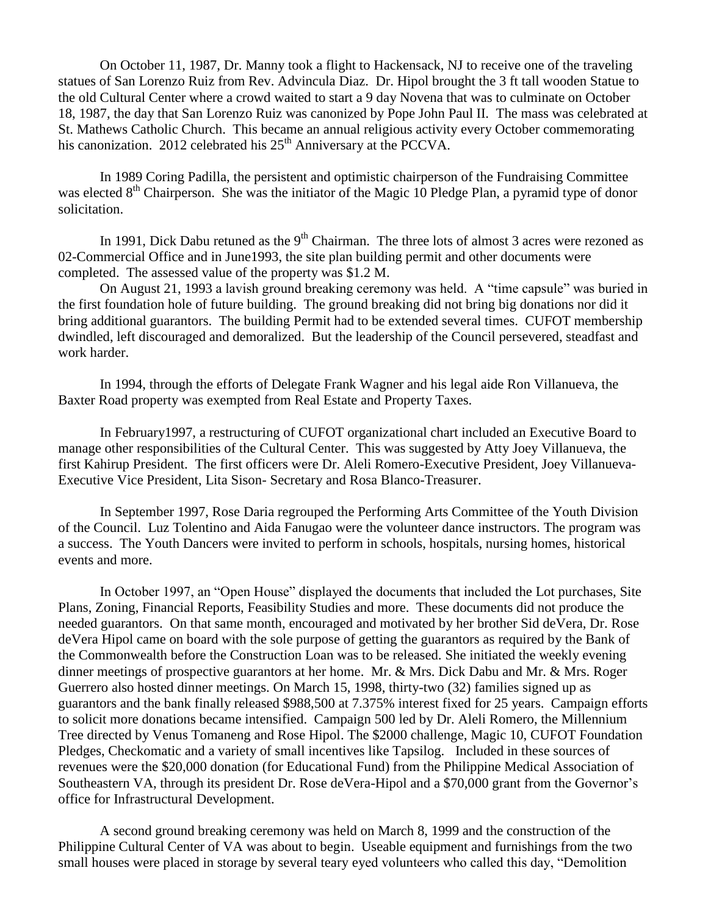On October 11, 1987, Dr. Manny took a flight to Hackensack, NJ to receive one of the traveling statues of San Lorenzo Ruiz from Rev. Advincula Diaz. Dr. Hipol brought the 3 ft tall wooden Statue to the old Cultural Center where a crowd waited to start a 9 day Novena that was to culminate on October 18, 1987, the day that San Lorenzo Ruiz was canonized by Pope John Paul II. The mass was celebrated at St. Mathews Catholic Church. This became an annual religious activity every October commemorating his canonization. 2012 celebrated his 25<sup>th</sup> Anniversary at the PCCVA.

In 1989 Coring Padilla, the persistent and optimistic chairperson of the Fundraising Committee was elected 8<sup>th</sup> Chairperson. She was the initiator of the Magic 10 Pledge Plan, a pyramid type of donor solicitation.

In 1991, Dick Dabu retuned as the  $9<sup>th</sup> Chairman$ . The three lots of almost 3 acres were rezoned as 02-Commercial Office and in June1993, the site plan building permit and other documents were completed. The assessed value of the property was \$1.2 M.

On August 21, 1993 a lavish ground breaking ceremony was held. A "time capsule" was buried in the first foundation hole of future building. The ground breaking did not bring big donations nor did it bring additional guarantors. The building Permit had to be extended several times. CUFOT membership dwindled, left discouraged and demoralized. But the leadership of the Council persevered, steadfast and work harder.

In 1994, through the efforts of Delegate Frank Wagner and his legal aide Ron Villanueva, the Baxter Road property was exempted from Real Estate and Property Taxes.

In February1997, a restructuring of CUFOT organizational chart included an Executive Board to manage other responsibilities of the Cultural Center. This was suggested by Atty Joey Villanueva, the first Kahirup President. The first officers were Dr. Aleli Romero-Executive President, Joey Villanueva-Executive Vice President, Lita Sison- Secretary and Rosa Blanco-Treasurer.

In September 1997, Rose Daria regrouped the Performing Arts Committee of the Youth Division of the Council. Luz Tolentino and Aida Fanugao were the volunteer dance instructors. The program was a success. The Youth Dancers were invited to perform in schools, hospitals, nursing homes, historical events and more.

In October 1997, an "Open House" displayed the documents that included the Lot purchases, Site Plans, Zoning, Financial Reports, Feasibility Studies and more. These documents did not produce the needed guarantors. On that same month, encouraged and motivated by her brother Sid deVera, Dr. Rose deVera Hipol came on board with the sole purpose of getting the guarantors as required by the Bank of the Commonwealth before the Construction Loan was to be released. She initiated the weekly evening dinner meetings of prospective guarantors at her home. Mr. & Mrs. Dick Dabu and Mr. & Mrs. Roger Guerrero also hosted dinner meetings. On March 15, 1998, thirty-two (32) families signed up as guarantors and the bank finally released \$988,500 at 7.375% interest fixed for 25 years. Campaign efforts to solicit more donations became intensified. Campaign 500 led by Dr. Aleli Romero, the Millennium Tree directed by Venus Tomaneng and Rose Hipol. The \$2000 challenge, Magic 10, CUFOT Foundation Pledges, Checkomatic and a variety of small incentives like Tapsilog. Included in these sources of revenues were the \$20,000 donation (for Educational Fund) from the Philippine Medical Association of Southeastern VA, through its president Dr. Rose deVera-Hipol and a \$70,000 grant from the Governor's office for Infrastructural Development.

A second ground breaking ceremony was held on March 8, 1999 and the construction of the Philippine Cultural Center of VA was about to begin. Useable equipment and furnishings from the two small houses were placed in storage by several teary eyed volunteers who called this day, "Demolition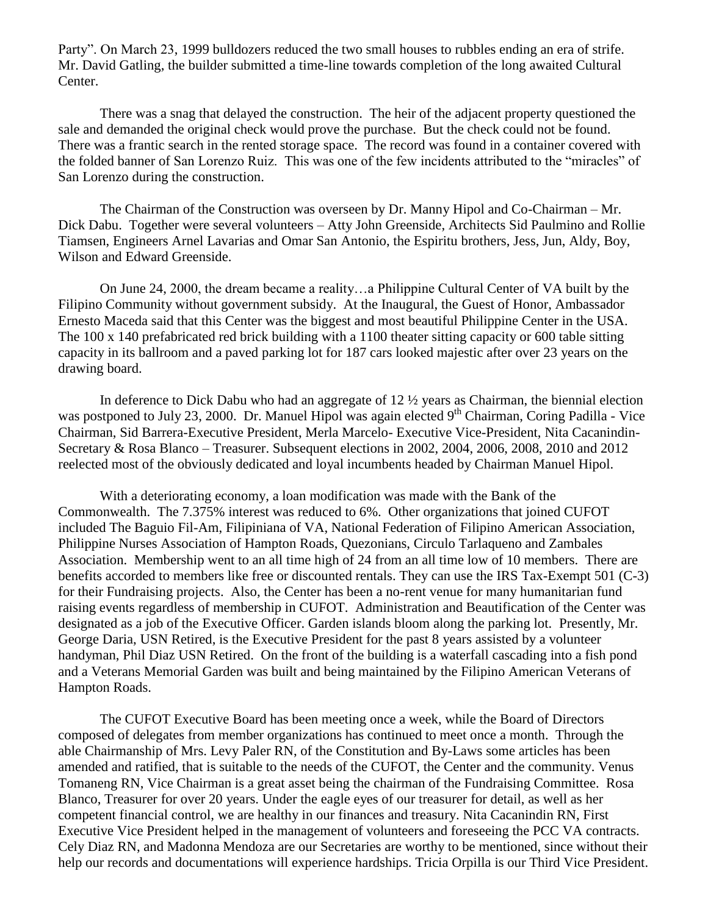Party". On March 23, 1999 bulldozers reduced the two small houses to rubbles ending an era of strife. Mr. David Gatling, the builder submitted a time-line towards completion of the long awaited Cultural Center.

There was a snag that delayed the construction. The heir of the adjacent property questioned the sale and demanded the original check would prove the purchase. But the check could not be found. There was a frantic search in the rented storage space. The record was found in a container covered with the folded banner of San Lorenzo Ruiz. This was one of the few incidents attributed to the "miracles" of San Lorenzo during the construction.

The Chairman of the Construction was overseen by Dr. Manny Hipol and Co-Chairman – Mr. Dick Dabu. Together were several volunteers – Atty John Greenside, Architects Sid Paulmino and Rollie Tiamsen, Engineers Arnel Lavarias and Omar San Antonio, the Espiritu brothers, Jess, Jun, Aldy, Boy, Wilson and Edward Greenside.

On June 24, 2000, the dream became a reality…a Philippine Cultural Center of VA built by the Filipino Community without government subsidy. At the Inaugural, the Guest of Honor, Ambassador Ernesto Maceda said that this Center was the biggest and most beautiful Philippine Center in the USA. The 100 x 140 prefabricated red brick building with a 1100 theater sitting capacity or 600 table sitting capacity in its ballroom and a paved parking lot for 187 cars looked majestic after over 23 years on the drawing board.

In deference to Dick Dabu who had an aggregate of 12 ½ years as Chairman, the biennial election was postponed to July 23, 2000. Dr. Manuel Hipol was again elected  $9<sup>th</sup> Chairman$ , Coring Padilla - Vice Chairman, Sid Barrera-Executive President, Merla Marcelo- Executive Vice-President, Nita Cacanindin-Secretary & Rosa Blanco – Treasurer. Subsequent elections in 2002, 2004, 2006, 2008, 2010 and 2012 reelected most of the obviously dedicated and loyal incumbents headed by Chairman Manuel Hipol.

With a deteriorating economy, a loan modification was made with the Bank of the Commonwealth. The 7.375% interest was reduced to 6%. Other organizations that joined CUFOT included The Baguio Fil-Am, Filipiniana of VA, National Federation of Filipino American Association, Philippine Nurses Association of Hampton Roads, Quezonians, Circulo Tarlaqueno and Zambales Association. Membership went to an all time high of 24 from an all time low of 10 members. There are benefits accorded to members like free or discounted rentals. They can use the IRS Tax-Exempt 501 (C-3) for their Fundraising projects. Also, the Center has been a no-rent venue for many humanitarian fund raising events regardless of membership in CUFOT. Administration and Beautification of the Center was designated as a job of the Executive Officer. Garden islands bloom along the parking lot. Presently, Mr. George Daria, USN Retired, is the Executive President for the past 8 years assisted by a volunteer handyman, Phil Diaz USN Retired. On the front of the building is a waterfall cascading into a fish pond and a Veterans Memorial Garden was built and being maintained by the Filipino American Veterans of Hampton Roads.

The CUFOT Executive Board has been meeting once a week, while the Board of Directors composed of delegates from member organizations has continued to meet once a month. Through the able Chairmanship of Mrs. Levy Paler RN, of the Constitution and By-Laws some articles has been amended and ratified, that is suitable to the needs of the CUFOT, the Center and the community. Venus Tomaneng RN, Vice Chairman is a great asset being the chairman of the Fundraising Committee. Rosa Blanco, Treasurer for over 20 years. Under the eagle eyes of our treasurer for detail, as well as her competent financial control, we are healthy in our finances and treasury. Nita Cacanindin RN, First Executive Vice President helped in the management of volunteers and foreseeing the PCC VA contracts. Cely Diaz RN, and Madonna Mendoza are our Secretaries are worthy to be mentioned, since without their help our records and documentations will experience hardships. Tricia Orpilla is our Third Vice President.